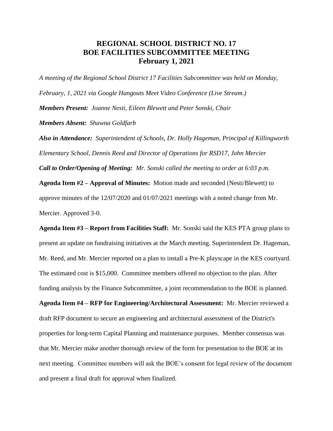## **REGIONAL SCHOOL DISTRICT NO. 17 BOE FACILITIES SUBCOMMITTEE MEETING February 1, 2021**

*A meeting of the Regional School District 17 Facilities Subcommittee was held on Monday, February, 1, 2021 via Google Hangouts Meet Video Conference (Live Stream.) Members Present: Joanne Nesti, Eileen Blewett and Peter Sonski, Chair Members Absent: Shawna Goldfarb*

*Also in Attendance: Superintendent of Schools, Dr. Holly Hageman, Principal of Killingworth Elementary School, Dennis Reed and Director of Operations for RSD17, John Mercier Call to Order/Opening of Meeting: Mr. Sonski called the meeting to order at 6:03 p.m.* 

**Agenda Item #2 – Approval of Minutes:** Motion made and seconded (Nesti/Blewett) to

approve minutes of the 12/07/2020 and 01/07/2021 meetings with a noted change from Mr. Mercier. Approved 3-0.

**Agenda Item #3 – Report from Facilities Staff:** Mr. Sonski said the KES PTA group plans to present an update on fundraising initiatives at the March meeting. Superintendent Dr. Hageman, Mr. Reed, and Mr. Mercier reported on a plan to install a Pre-K playscape in the KES courtyard. The estimated cost is \$15,000. Committee members offered no objection to the plan. After funding analysis by the Finance Subcommittee, a joint recommendation to the BOE is planned.

**Agenda Item #4 – RFP for Engineering/Architectural Assessment:** Mr. Mercier reviewed a draft RFP document to secure an engineering and architectural assessment of the District's properties for long-term Capital Planning and maintenance purposes. Member consensus was that Mr. Mercier make another thorough review of the form for presentation to the BOE at its next meeting. Committee members will ask the BOE's consent for legal review of the document and present a final draft for approval when finalized.